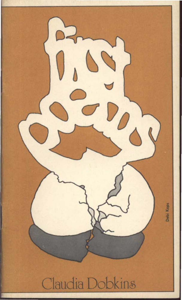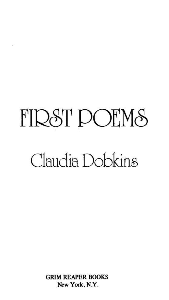# **FIDST DOEMS** Claudia Dobkins

GRIM REAPER BOOKS New York, N.Y.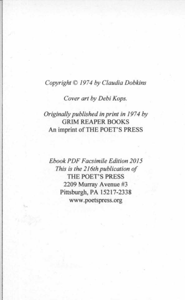#### *Copyright© 1974 by Claudia Dobkins*

*Cover art by Debi Kops.* 

# *Originally published in print in 1974 by* GRIM REAPER BOOKS An imprint of THE POET'S PRESS

*Ebook PDF Facsimile Edition 2015 This is the 216th publication of*  THE POET'S PRESS 2209 Murray A venue #3 Pittsburgh, PA 15217-2338 www .poetspress.org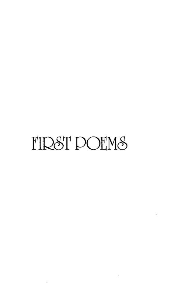# **FIRST POEMS**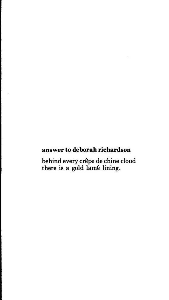# answer to deborah richardson

behind every crepe de chine cloud there is a gold lame lining.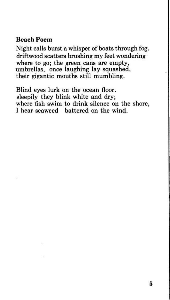## **Beach Poem**

Night calls burst a whisper of boats through fog. driftwood scatters brushing my feet wondering where to go; the green cans are empty, umbrellas, once laughing lay squashed, their gigantic mouths still mumbling.

Blind eyes lurk on the ocean floor. sleepily they blink white and dry; where fish swim to drink silence on the shore, I hear seaweed battered on the wind.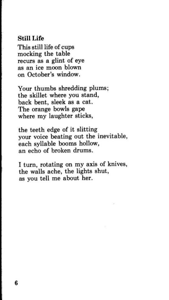#### **Still Life**

This still life of cups mocking the table recurs as a glint of eye as an ice moon blown on October's window.

Your thumbs shredding plums; the skillet where you stand, back bent, sleek as a cat. The orange bowls gape where my laughter sticks,

the teeth edge of it slitting your voice beating out the inevitable, each syllable booms hollow, an echo of broken drums.

I turn, rotating on my axis of knives, the walls ache, the lights shut, as you tell me about her.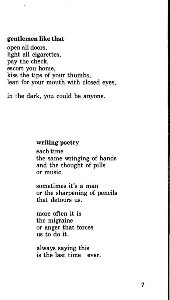#### **gentlemen like that**

ä,

open all doors, light all cigarettes, pay the check, escort you home, kiss the tips of your thumbs, lean for your mouth with closed eyes,

in the dark, you could be anyone.

#### **writing poetry**

each time the same wringing of hands and the thought of pills or music.

sometimes it's a man or the sharpening of pencils that detours us.

more often it is the migraine or anger that forces us to do it.

always saying this is the last time ever.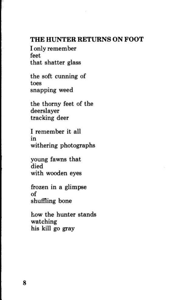# **THE HUNTER RETURNS ON FOOT**

I only remember feet that shatter glass

the soft cunning of toes snapping weed

the thorny feet of the deerslayer tracking deer

I remember it all m withering photographs

young fawns that died with wooden eyes

frozen in a glimpse of shuffling bone

how the hunter stands watching his kill go gray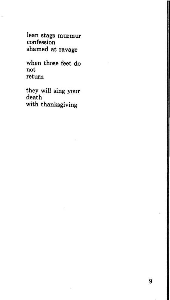lean stags murmur confession shamed at ravage

when those feet do not return

they will sing your death with thanksgiving

9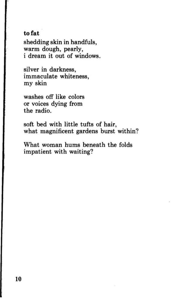#### **to fat**

shedding skin in handfuls, warm dough, pearly, i dream it out of windows.

silver in darkness, immaculate whiteness, my skin

washes off like colors or voices dying from the radio.

soft bed with little tufts of hair, what magnificent gardens burst within?

What woman hums beneath the folds impatient with waiting?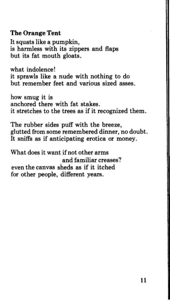# **The Orange Tent**

It squats like a pumpkin, is harmless with its zippers and flaps but its fat mouth gloats.

what indolence! it sprawls like a nude with nothing to do but remember feet and various sized asses.

how smug it is anchored there with fat stakes. it stretches to the trees as if it recognized them.

The rubber sides puff with the breeze, glutted from some remembered dinner, no doubt. It sniffs as if anticipating erotica or money.

What does it want if not other arms and familiar creases? even the canvas sheds as if it itched for other people, different years.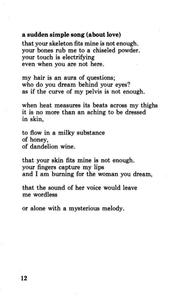#### **a sudden simple song (about love)**

that your skeleton fits mine is not enough. your bones rub me to a chiseled powder. your touch is electrifying even when you are not here.

my hair is an aura of questions; who do you dream behind your eyes? as if the curve of my pelvis is not enough.

when heat measures its beats across my thighs it is no more than an aching to be dressed in skin,

to flow in a milky substance of honey, of dandelion wine.

that your skin fits mine is not enough. your fingers capture my lips and I am burning for the woman you dream,

that the sound of her voice would leave me wordless

or alone with a mysterious melody.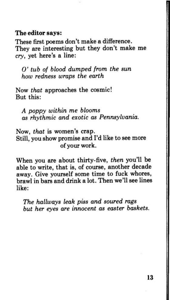#### **The editor** says:

These first poems don't make a difference. They are interesting but they don't make me *cry,* yet here's a line:

0' *tub of blood dumped from the sun how redness wraps the earth* 

Now *that* approaches the cosmic! But this:

*A poppy within me blooms as rhythmic and exotic as Pennsylvania.* 

Now, *that* is women's crap. Still, you show promise and I'd like to see more of your work.

When you are about thirty-five, *then* you'll be able to write, that is, of course, another decade away. Give yourself some time to fuck whores, brawl in bars and drink a lot. Then we'll see lines like:

*The hallways leak piss and soured rags but her eyes are innocent as easter baskets.*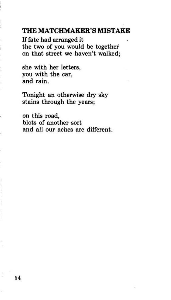#### **THE MATCHMAKER'S MISTAKE**

If fate had arranged it the two of you would be together on that street we haven't walked;

she with her letters, you with the car, and rain.

Tonight an otherwise dry sky stains through the years;

on this road, blots of another sort and all our aches are different.

ï

 $\begin{minipage}{.4\linewidth} \begin{tabular}{ll} \hline \multicolumn{3}{c}{\textbf{0.4\linewidth}} \end{tabular} \end{minipage} \begin{minipage}{.4\linewidth} \begin{tabular}{ll} \multicolumn{3}{c}{\textbf{0.4\linewidth}} \end{tabular} \end{minipage} \begin{minipage}{.4\linewidth} \begin{tabular}{ll} \multicolumn{3}{c}{\textbf{0.4\linewidth}} \end{tabular} \end{minipage} \begin{minipage}{.4\linewidth} \end{minipage} \begin{minipage}{.4\linewidth} \end{minipage} \begin{minipage}{.4\linewidth} \end{minipage} \begin{min$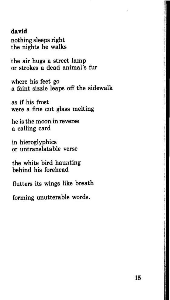#### **david**

nothing sleeps right the nights he walks

the air hugs a street lamp or strokes a dead animal's fur

where his feet go a faint sizzle leaps off the sidewalk

as if his frost were a fine cut glass melting

he is the moon in reverse a calling card

in hieroglyphics or untranslatable verse

the white bird haunting behind his forehead

flutters its wings like breath

forming unutterable words.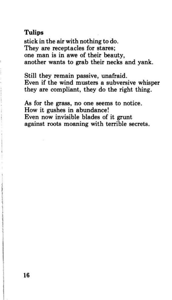# **Tulips**

stick in the air with nothing to do. They are receptacles for stares; one man is in awe of their beauty, another wants to grab their necks and yank.

Still they remain passive, unafraid. Even if the wind musters a subversive whisper they are compliant, they do the right thing.

As for the grass, no one seems to notice. How it gushes in abundance! Even now invisible blades of it grunt against roots moaning with terrible secrets.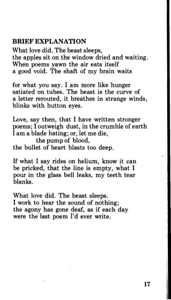# **BRIEF EXPLANATION**

What love did. The beast sleeps, the apples sit on the window dried and waiting. When poems yawn the air eats itself a good void. The shaft of my brain waits

for what you say. I am more like hunger satiated on tubes. The beast is the curve of a letter rerouted, it breathes in strange winds, blinks with button eyes.

Love, say then, that I have written stronger poems; I outweigh dust, in the crumble of earth I am a blade hating; or, let me die, the pump of blood,

the bullet of heart blasts too deep.

If what I say rides on helium, know it can be pricked, that the line is empty, what I pour in the glass bell leaks, my teeth tear blanks.

What love did. The beast sleeps. I work to hear the sound of nothing; the agony has gone deaf, as if each day were the last poem I'd ever write.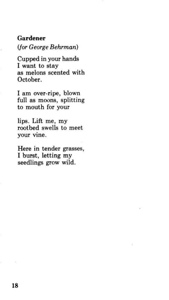# **Gardener**  *(for George Behrman)*

Cupped in your hands I want to stay as melons scented with October.

I am over-ripe, blown full as moons, splitting to mouth for your

lips. Lift me, my rootbed swells to meet your vine.

Here in tender grasses, I burst, letting my seedlings grow wild.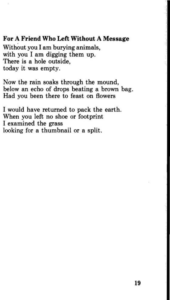# **For A Friend Who Left Without A Message**

Without you I am burying animals, with you I am digging them up. There is a hole outside, today it was empty.

Now the rain soaks through the mound, below an echo of drops beating a brown bag. Had you been there to feast on flowers

I would have returned to pack the earth. When you left no shoe or footprint I examined the grass looking for a thumbnail or a split.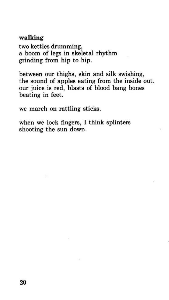#### **walking**

two kettles drumming, a boom of legs in skeletal rhythm grinding from hip to hip.

between our thighs, skin and silk swishing, the sound of apples eating from the inside out. our juice is red, blasts of blood bang bones beating in feet.

we march on rattling sticks.

when we lock fingers, I think splinters shooting the sun down.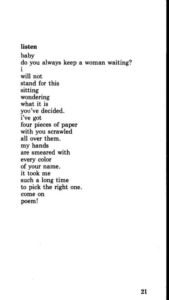#### **listen**

baby do you always keep a woman waiting? l will not stand for this sitting wondering what it is you've decided. i've got four pieces of paper with you scrawled all over them. my hands are smeared with every color of your name. it took me such a long time to pick the right one. come on poem!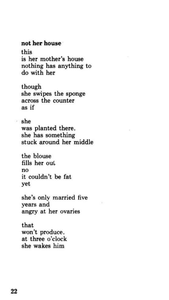#### **not her house**

this is her mother's house nothing has anything to do with her

though she swipes the sponge across the counter as if

she was planted there. she has something stuck around her middle

the blouse fills her out no it couldn't be fat yet

she's only married five years and angry at her ovaries

that won't produce. at three o'clock she wakes him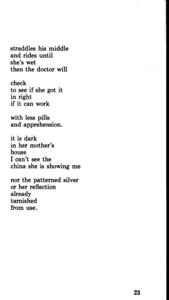straddles his middle and rides until she's wet then the doctor will

check to see if she got it in right if it can work

with less pills and apprehension.

it is dark in her mother's house I can't see the china she is showing me

nor the patterned silver or her reflection already tarnished from use.